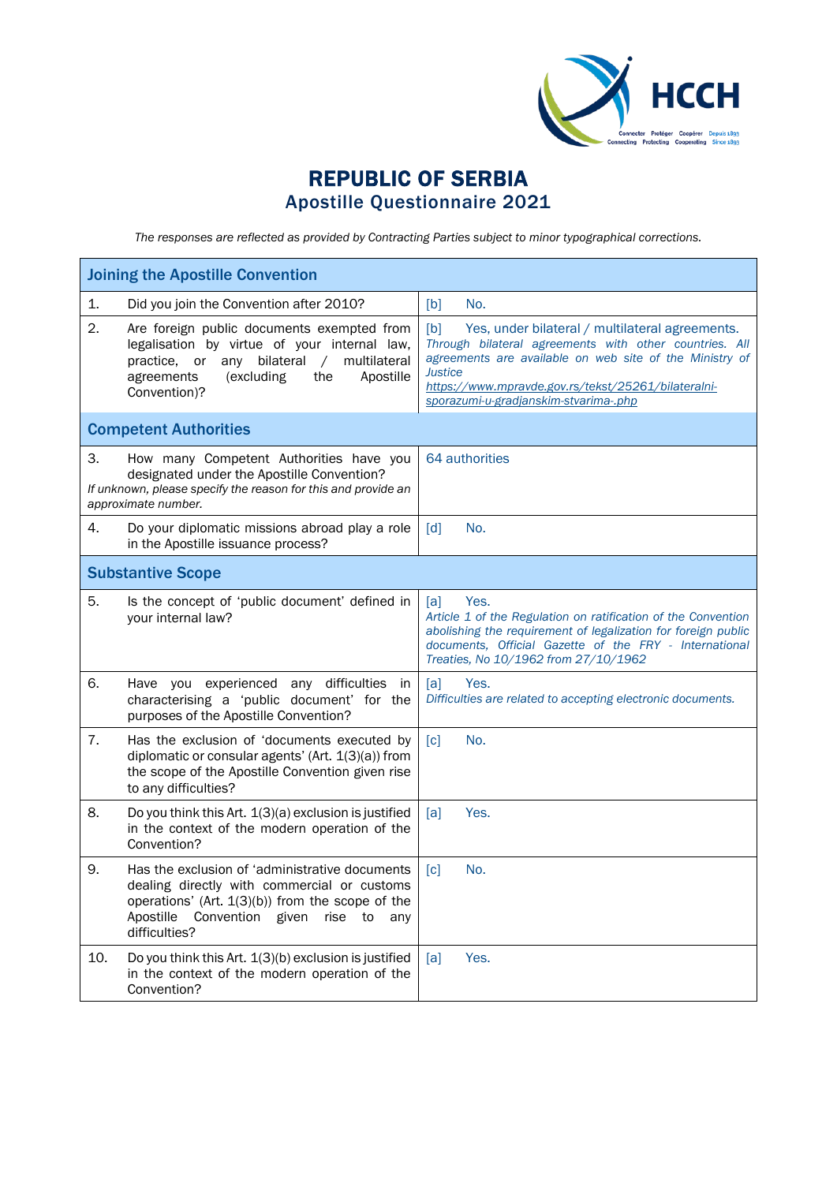

## REPUBLIC OF SERBIA Apostille Questionnaire 2021

*The responses are reflected as provided by Contracting Parties subject to minor typographical corrections.*

| <b>Joining the Apostille Convention</b>                                                                                                                                                                                            |                                                                                                                                                                                                                                                                                               |  |  |
|------------------------------------------------------------------------------------------------------------------------------------------------------------------------------------------------------------------------------------|-----------------------------------------------------------------------------------------------------------------------------------------------------------------------------------------------------------------------------------------------------------------------------------------------|--|--|
| 1.<br>Did you join the Convention after 2010?                                                                                                                                                                                      | No.<br>[b]                                                                                                                                                                                                                                                                                    |  |  |
| 2.<br>Are foreign public documents exempted from<br>legalisation by virtue of your internal law,<br>bilateral<br>multilateral<br>practice, or<br>any<br>$\sqrt{2}$<br>(excluding<br>the<br>Apostille<br>agreements<br>Convention)? | [b]<br>Yes, under bilateral / multilateral agreements.<br>Through bilateral agreements with other countries. All<br>agreements are available on web site of the Ministry of<br><b>Justice</b><br>https://www.mpravde.gov.rs/tekst/25261/bilateralni-<br>sporazumi-u-gradjanskim-stvarima-.php |  |  |
| <b>Competent Authorities</b>                                                                                                                                                                                                       |                                                                                                                                                                                                                                                                                               |  |  |
| 3.<br>How many Competent Authorities have you<br>designated under the Apostille Convention?<br>If unknown, please specify the reason for this and provide an<br>approximate number.                                                | 64 authorities                                                                                                                                                                                                                                                                                |  |  |
| 4.<br>Do your diplomatic missions abroad play a role<br>in the Apostille issuance process?                                                                                                                                         | No.<br>$\lceil d \rceil$                                                                                                                                                                                                                                                                      |  |  |
| <b>Substantive Scope</b>                                                                                                                                                                                                           |                                                                                                                                                                                                                                                                                               |  |  |
| 5.<br>Is the concept of 'public document' defined in<br>your internal law?                                                                                                                                                         | Yes.<br>[a]<br>Article 1 of the Regulation on ratification of the Convention<br>abolishing the requirement of legalization for foreign public<br>documents, Official Gazette of the FRY - International<br>Treaties, No 10/1962 from 27/10/1962                                               |  |  |
| 6.<br>Have you experienced any difficulties in<br>characterising a 'public document' for the<br>purposes of the Apostille Convention?                                                                                              | Yes.<br>[a]<br>Difficulties are related to accepting electronic documents.                                                                                                                                                                                                                    |  |  |
| 7.<br>Has the exclusion of 'documents executed by<br>diplomatic or consular agents' (Art. 1(3)(a)) from<br>the scope of the Apostille Convention given rise<br>to any difficulties?                                                | [c]<br>No.                                                                                                                                                                                                                                                                                    |  |  |
| 8.<br>Do you think this Art. $1(3)(a)$ exclusion is justified<br>in the context of the modern operation of the<br>Convention?                                                                                                      | [a]<br>Yes.                                                                                                                                                                                                                                                                                   |  |  |
| 9.<br>Has the exclusion of 'administrative documents<br>dealing directly with commercial or customs<br>operations' (Art. 1(3)(b)) from the scope of the<br>Apostille<br>Convention given<br>rise<br>to<br>any<br>difficulties?     | No.<br>$\lceil c \rceil$                                                                                                                                                                                                                                                                      |  |  |
| 10.<br>Do you think this Art. 1(3)(b) exclusion is justified<br>in the context of the modern operation of the<br>Convention?                                                                                                       | Yes.<br>[a]                                                                                                                                                                                                                                                                                   |  |  |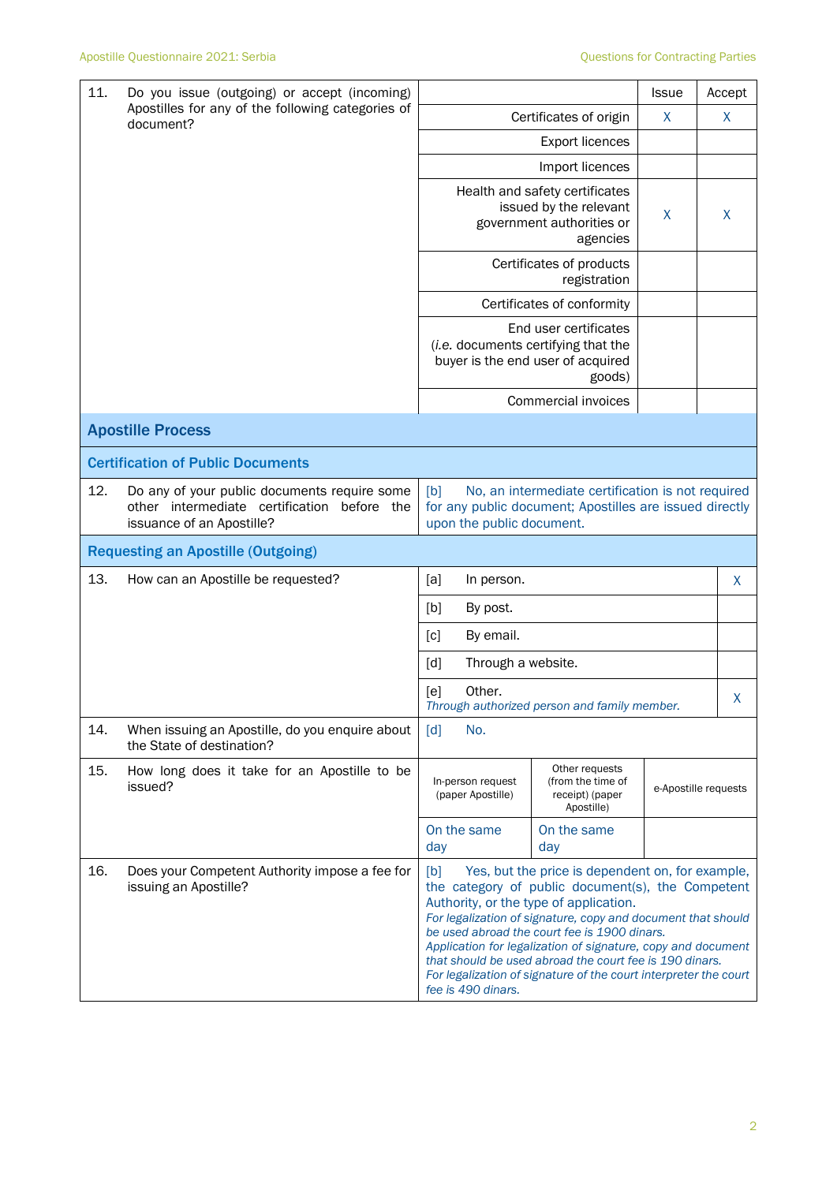| 11.<br>Do you issue (outgoing) or accept (incoming)<br>Apostilles for any of the following categories of<br>document? | <b>Issue</b>                                                                                                             |                                                                                                                                                                                                                                                                                                                                                                                                                                                                                             |                                                                                                             | Accept               |   |
|-----------------------------------------------------------------------------------------------------------------------|--------------------------------------------------------------------------------------------------------------------------|---------------------------------------------------------------------------------------------------------------------------------------------------------------------------------------------------------------------------------------------------------------------------------------------------------------------------------------------------------------------------------------------------------------------------------------------------------------------------------------------|-------------------------------------------------------------------------------------------------------------|----------------------|---|
|                                                                                                                       | Certificates of origin                                                                                                   | X                                                                                                                                                                                                                                                                                                                                                                                                                                                                                           | X                                                                                                           |                      |   |
|                                                                                                                       |                                                                                                                          |                                                                                                                                                                                                                                                                                                                                                                                                                                                                                             |                                                                                                             |                      |   |
|                                                                                                                       |                                                                                                                          |                                                                                                                                                                                                                                                                                                                                                                                                                                                                                             | Import licences                                                                                             |                      |   |
|                                                                                                                       |                                                                                                                          |                                                                                                                                                                                                                                                                                                                                                                                                                                                                                             | Health and safety certificates<br>issued by the relevant<br>government authorities or<br>agencies           | X                    | X |
|                                                                                                                       |                                                                                                                          |                                                                                                                                                                                                                                                                                                                                                                                                                                                                                             | Certificates of products<br>registration                                                                    |                      |   |
|                                                                                                                       |                                                                                                                          |                                                                                                                                                                                                                                                                                                                                                                                                                                                                                             | Certificates of conformity                                                                                  |                      |   |
|                                                                                                                       |                                                                                                                          |                                                                                                                                                                                                                                                                                                                                                                                                                                                                                             | End user certificates<br>(i.e. documents certifying that the<br>buyer is the end user of acquired<br>goods) |                      |   |
|                                                                                                                       |                                                                                                                          |                                                                                                                                                                                                                                                                                                                                                                                                                                                                                             | Commercial invoices                                                                                         |                      |   |
|                                                                                                                       | <b>Apostille Process</b>                                                                                                 |                                                                                                                                                                                                                                                                                                                                                                                                                                                                                             |                                                                                                             |                      |   |
|                                                                                                                       | <b>Certification of Public Documents</b>                                                                                 |                                                                                                                                                                                                                                                                                                                                                                                                                                                                                             |                                                                                                             |                      |   |
| 12.                                                                                                                   | Do any of your public documents require some<br>other intermediate certification before the<br>issuance of an Apostille? | [b]<br>No, an intermediate certification is not required<br>for any public document; Apostilles are issued directly<br>upon the public document.                                                                                                                                                                                                                                                                                                                                            |                                                                                                             |                      |   |
|                                                                                                                       | <b>Requesting an Apostille (Outgoing)</b>                                                                                |                                                                                                                                                                                                                                                                                                                                                                                                                                                                                             |                                                                                                             |                      |   |
| 13.                                                                                                                   | How can an Apostille be requested?                                                                                       | [a]<br>In person.                                                                                                                                                                                                                                                                                                                                                                                                                                                                           |                                                                                                             |                      | X |
|                                                                                                                       |                                                                                                                          | [b]<br>By post.                                                                                                                                                                                                                                                                                                                                                                                                                                                                             |                                                                                                             |                      |   |
|                                                                                                                       |                                                                                                                          | [c]<br>By email.                                                                                                                                                                                                                                                                                                                                                                                                                                                                            |                                                                                                             |                      |   |
|                                                                                                                       |                                                                                                                          | Through a website.<br>[d]                                                                                                                                                                                                                                                                                                                                                                                                                                                                   |                                                                                                             |                      |   |
|                                                                                                                       |                                                                                                                          | Other.<br>[e]                                                                                                                                                                                                                                                                                                                                                                                                                                                                               | Through authorized person and family member.                                                                |                      | X |
| 14.                                                                                                                   | When issuing an Apostille, do you enquire about<br>the State of destination?                                             | $\lceil d \rceil$<br>No.                                                                                                                                                                                                                                                                                                                                                                                                                                                                    |                                                                                                             |                      |   |
| 15.                                                                                                                   | How long does it take for an Apostille to be<br>issued?                                                                  | Other requests<br>(from the time of<br>In-person request<br>(paper Apostille)<br>receipt) (paper<br>Apostille)                                                                                                                                                                                                                                                                                                                                                                              |                                                                                                             | e-Apostille requests |   |
|                                                                                                                       |                                                                                                                          | On the same<br>day                                                                                                                                                                                                                                                                                                                                                                                                                                                                          | On the same<br>day                                                                                          |                      |   |
| 16.                                                                                                                   | Does your Competent Authority impose a fee for<br>issuing an Apostille?                                                  | [b]<br>Yes, but the price is dependent on, for example,<br>the category of public document(s), the Competent<br>Authority, or the type of application.<br>For legalization of signature, copy and document that should<br>be used abroad the court fee is 1900 dinars.<br>Application for legalization of signature, copy and document<br>that should be used abroad the court fee is 190 dinars.<br>For legalization of signature of the court interpreter the court<br>fee is 490 dinars. |                                                                                                             |                      |   |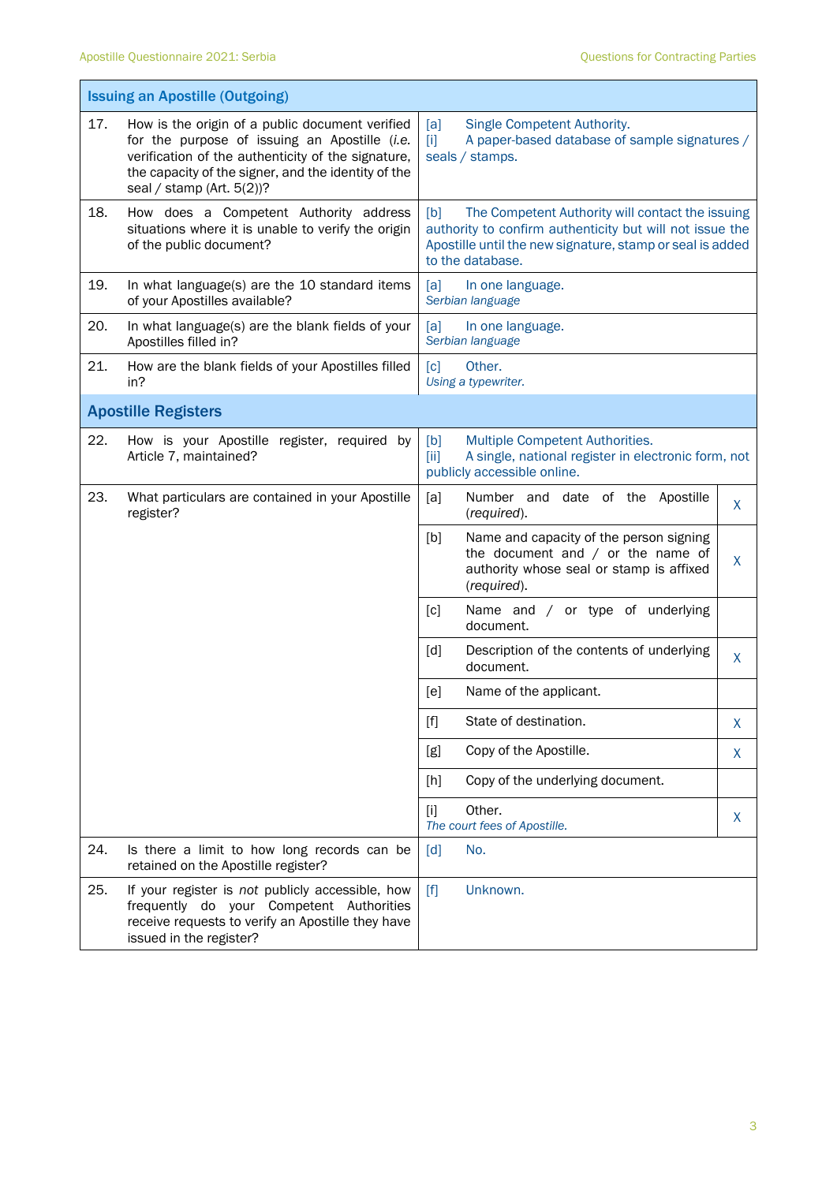|     | <b>Issuing an Apostille (Outgoing)</b>                                                                                                                                                                                                        |                                                                                                                                                                                                      |  |  |
|-----|-----------------------------------------------------------------------------------------------------------------------------------------------------------------------------------------------------------------------------------------------|------------------------------------------------------------------------------------------------------------------------------------------------------------------------------------------------------|--|--|
| 17. | How is the origin of a public document verified<br>for the purpose of issuing an Apostille (i.e.<br>verification of the authenticity of the signature,<br>the capacity of the signer, and the identity of the<br>seal / stamp (Art. $5(2)$ )? | Single Competent Authority.<br>[a]<br>A paper-based database of sample signatures /<br>$\mathbf{[i]}$<br>seals / stamps.                                                                             |  |  |
| 18. | How does a Competent Authority address<br>situations where it is unable to verify the origin<br>of the public document?                                                                                                                       | The Competent Authority will contact the issuing<br>[b]<br>authority to confirm authenticity but will not issue the<br>Apostille until the new signature, stamp or seal is added<br>to the database. |  |  |
| 19. | In what language(s) are the 10 standard items<br>of your Apostilles available?                                                                                                                                                                | [a]<br>In one language.<br>Serbian language                                                                                                                                                          |  |  |
| 20. | In what language(s) are the blank fields of your<br>Apostilles filled in?                                                                                                                                                                     | [a]<br>In one language.<br>Serbian language                                                                                                                                                          |  |  |
| 21. | How are the blank fields of your Apostilles filled<br>in?                                                                                                                                                                                     | $\lceil c \rceil$<br>Other.<br>Using a typewriter.                                                                                                                                                   |  |  |
|     | <b>Apostille Registers</b>                                                                                                                                                                                                                    |                                                                                                                                                                                                      |  |  |
| 22. | How is your Apostille register, required by<br>Article 7, maintained?                                                                                                                                                                         | Multiple Competent Authorities.<br>[b]<br>A single, national register in electronic form, not<br>[iii]<br>publicly accessible online.                                                                |  |  |
| 23. | What particulars are contained in your Apostille<br>register?                                                                                                                                                                                 | Number and date of the Apostille<br>[a]<br>X<br>(required).                                                                                                                                          |  |  |
|     |                                                                                                                                                                                                                                               | Name and capacity of the person signing<br>[b]<br>the document and $/$ or the name of<br>X<br>authority whose seal or stamp is affixed<br>(required).                                                |  |  |
|     |                                                                                                                                                                                                                                               | Name and / or type of underlying<br>[c]<br>document.                                                                                                                                                 |  |  |
|     |                                                                                                                                                                                                                                               | [d]<br>Description of the contents of underlying<br>X<br>document.                                                                                                                                   |  |  |
|     |                                                                                                                                                                                                                                               | [e]<br>Name of the applicant.                                                                                                                                                                        |  |  |
|     |                                                                                                                                                                                                                                               | State of destination.<br>$[f]$<br>X                                                                                                                                                                  |  |  |
|     |                                                                                                                                                                                                                                               | Copy of the Apostille.<br>[g]<br>X                                                                                                                                                                   |  |  |
|     |                                                                                                                                                                                                                                               | Copy of the underlying document.<br>[h]                                                                                                                                                              |  |  |
|     |                                                                                                                                                                                                                                               | Other.<br>$[1]$<br>X<br>The court fees of Apostille.                                                                                                                                                 |  |  |
| 24. | Is there a limit to how long records can be<br>retained on the Apostille register?                                                                                                                                                            | $\lceil d \rceil$<br>No.                                                                                                                                                                             |  |  |
| 25. | If your register is not publicly accessible, how<br>frequently do your Competent Authorities<br>receive requests to verify an Apostille they have<br>issued in the register?                                                                  | $[f]$<br>Unknown.                                                                                                                                                                                    |  |  |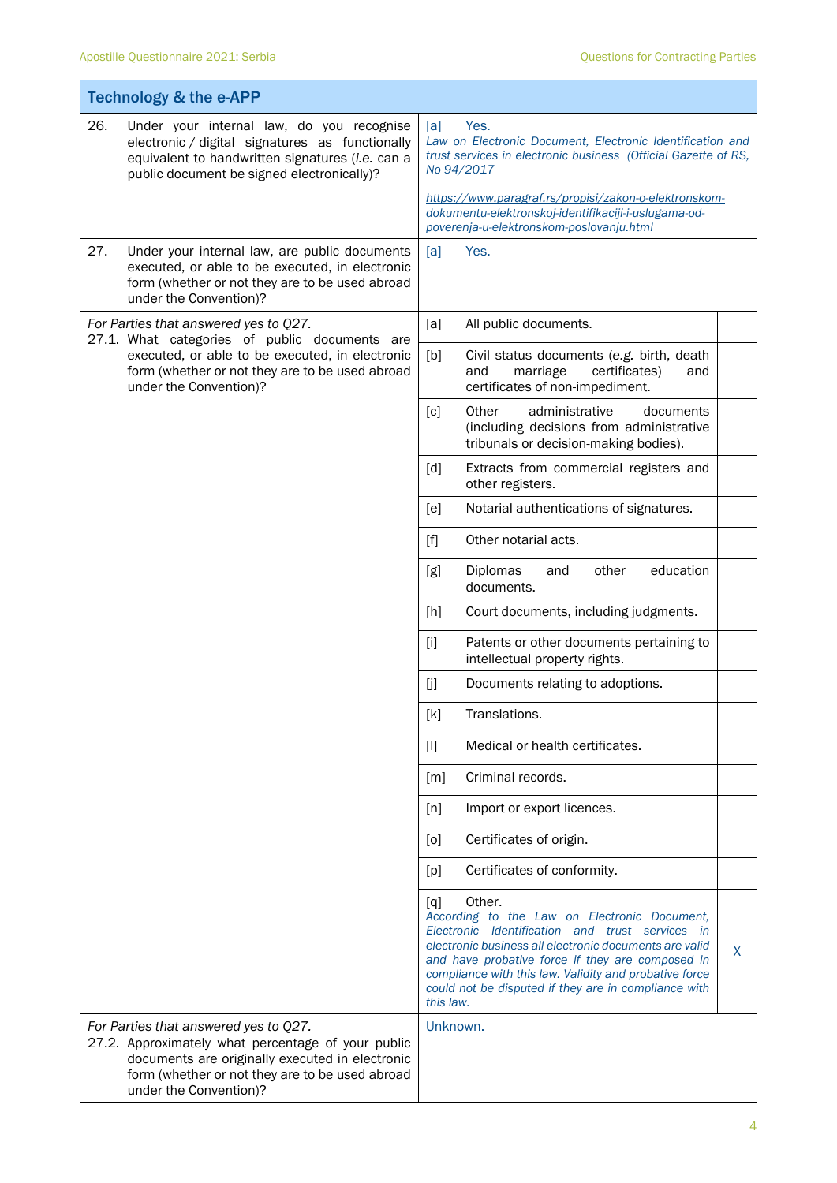|     | <b>Technology &amp; the e-APP</b>                                                                                                                                                                                           |                                                                                                                                                          |                                                                                                                                                                                                                                                                                                                                           |   |
|-----|-----------------------------------------------------------------------------------------------------------------------------------------------------------------------------------------------------------------------------|----------------------------------------------------------------------------------------------------------------------------------------------------------|-------------------------------------------------------------------------------------------------------------------------------------------------------------------------------------------------------------------------------------------------------------------------------------------------------------------------------------------|---|
| 26. | Under your internal law, do you recognise<br>electronic / digital signatures as functionally<br>equivalent to handwritten signatures (i.e. can a<br>public document be signed electronically)?                              | Yes.<br>[a]<br>Law on Electronic Document, Electronic Identification and<br>trust services in electronic business (Official Gazette of RS,<br>No 94/2017 |                                                                                                                                                                                                                                                                                                                                           |   |
|     |                                                                                                                                                                                                                             |                                                                                                                                                          | https://www.paragraf.rs/propisi/zakon-o-elektronskom-<br>dokumentu-elektronskoj-identifikaciji-i-uslugama-od-<br>poverenja-u-elektronskom-poslovanju.html                                                                                                                                                                                 |   |
| 27. | Under your internal law, are public documents<br>executed, or able to be executed, in electronic<br>form (whether or not they are to be used abroad<br>under the Convention)?                                               | [a]                                                                                                                                                      | Yes.                                                                                                                                                                                                                                                                                                                                      |   |
|     | For Parties that answered yes to Q27.<br>27.1. What categories of public documents are<br>executed, or able to be executed, in electronic<br>form (whether or not they are to be used abroad<br>under the Convention)?      | [a]                                                                                                                                                      | All public documents.                                                                                                                                                                                                                                                                                                                     |   |
|     |                                                                                                                                                                                                                             | [b]                                                                                                                                                      | Civil status documents (e.g. birth, death<br>and<br>marriage<br>certificates)<br>and<br>certificates of non-impediment.                                                                                                                                                                                                                   |   |
|     |                                                                                                                                                                                                                             | $\lceil c \rceil$                                                                                                                                        | Other<br>administrative<br>documents<br>(including decisions from administrative<br>tribunals or decision-making bodies).                                                                                                                                                                                                                 |   |
|     |                                                                                                                                                                                                                             | [d]                                                                                                                                                      | Extracts from commercial registers and<br>other registers.                                                                                                                                                                                                                                                                                |   |
|     |                                                                                                                                                                                                                             | [e]                                                                                                                                                      | Notarial authentications of signatures.                                                                                                                                                                                                                                                                                                   |   |
|     |                                                                                                                                                                                                                             | $[f]$                                                                                                                                                    | Other notarial acts.                                                                                                                                                                                                                                                                                                                      |   |
|     |                                                                                                                                                                                                                             | [g]                                                                                                                                                      | Diplomas<br>education<br>other<br>and<br>documents.                                                                                                                                                                                                                                                                                       |   |
|     |                                                                                                                                                                                                                             | [h]                                                                                                                                                      | Court documents, including judgments.                                                                                                                                                                                                                                                                                                     |   |
|     |                                                                                                                                                                                                                             | $[1]$                                                                                                                                                    | Patents or other documents pertaining to<br>intellectual property rights.                                                                                                                                                                                                                                                                 |   |
|     |                                                                                                                                                                                                                             | [j]                                                                                                                                                      | Documents relating to adoptions.                                                                                                                                                                                                                                                                                                          |   |
|     |                                                                                                                                                                                                                             | [k]                                                                                                                                                      | Translations.                                                                                                                                                                                                                                                                                                                             |   |
|     |                                                                                                                                                                                                                             | $[1]$                                                                                                                                                    | Medical or health certificates.                                                                                                                                                                                                                                                                                                           |   |
|     |                                                                                                                                                                                                                             | [m]                                                                                                                                                      | Criminal records.                                                                                                                                                                                                                                                                                                                         |   |
|     |                                                                                                                                                                                                                             | [n]                                                                                                                                                      | Import or export licences.                                                                                                                                                                                                                                                                                                                |   |
|     |                                                                                                                                                                                                                             | [0]                                                                                                                                                      | Certificates of origin.                                                                                                                                                                                                                                                                                                                   |   |
|     |                                                                                                                                                                                                                             | [p]                                                                                                                                                      | Certificates of conformity.                                                                                                                                                                                                                                                                                                               |   |
|     |                                                                                                                                                                                                                             | [q]<br>this law.                                                                                                                                         | Other.<br>According to the Law on Electronic Document,<br>Electronic Identification and trust services in<br>electronic business all electronic documents are valid<br>and have probative force if they are composed in<br>compliance with this law. Validity and probative force<br>could not be disputed if they are in compliance with | X |
|     | For Parties that answered yes to Q27.<br>27.2. Approximately what percentage of your public<br>documents are originally executed in electronic<br>form (whether or not they are to be used abroad<br>under the Convention)? | Unknown.                                                                                                                                                 |                                                                                                                                                                                                                                                                                                                                           |   |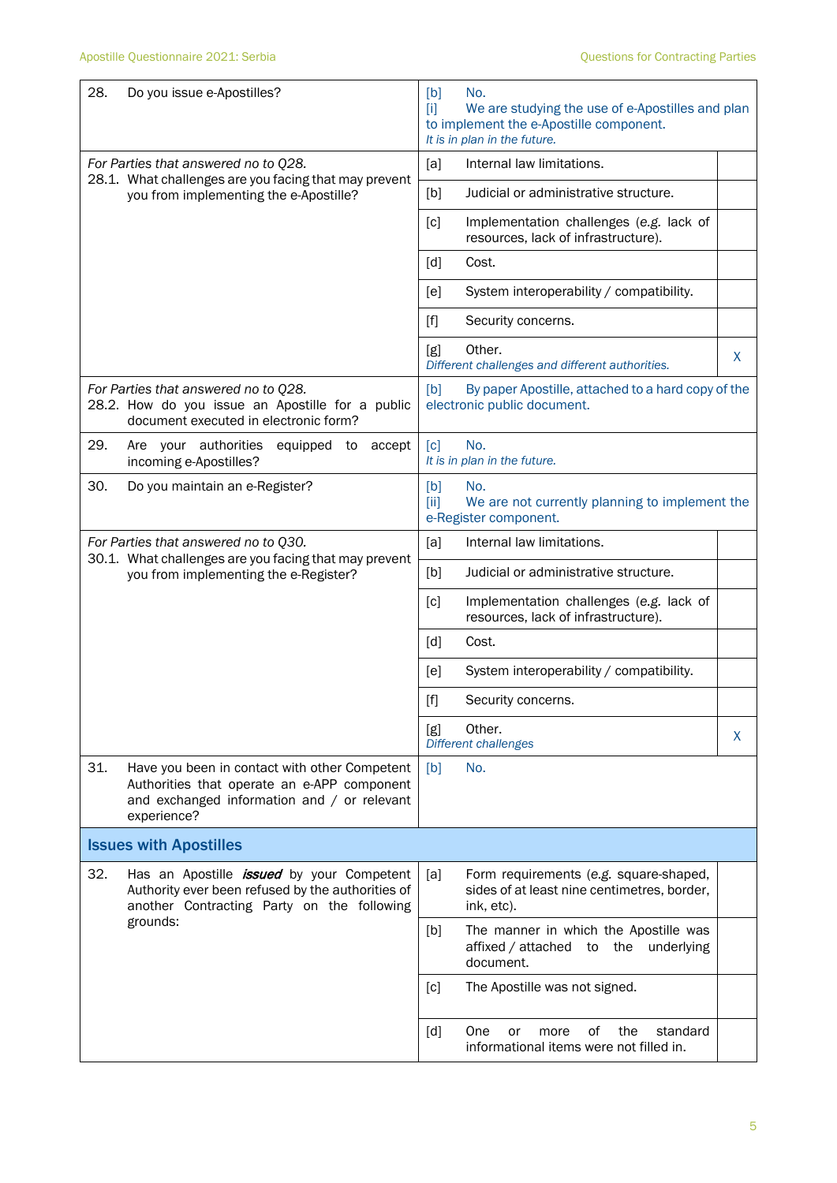| 28.<br>Do you issue e-Apostilles?                                                                                                                                 | [b]<br>No.<br>We are studying the use of e-Apostilles and plan<br>m<br>to implement the e-Apostille component.<br>It is in plan in the future. |  |  |
|-------------------------------------------------------------------------------------------------------------------------------------------------------------------|------------------------------------------------------------------------------------------------------------------------------------------------|--|--|
| For Parties that answered no to Q28.<br>28.1. What challenges are you facing that may prevent                                                                     | Internal law limitations.<br>[a]                                                                                                               |  |  |
| you from implementing the e-Apostille?                                                                                                                            | Judicial or administrative structure.<br>[b]                                                                                                   |  |  |
|                                                                                                                                                                   | Implementation challenges (e.g. lack of<br>[c]<br>resources, lack of infrastructure).                                                          |  |  |
|                                                                                                                                                                   | [d]<br>Cost.                                                                                                                                   |  |  |
|                                                                                                                                                                   | System interoperability / compatibility.<br>[e]                                                                                                |  |  |
|                                                                                                                                                                   | $[f]$<br>Security concerns.                                                                                                                    |  |  |
|                                                                                                                                                                   | Other.<br>[g]<br>X<br>Different challenges and different authorities.                                                                          |  |  |
| For Parties that answered no to Q28.<br>28.2. How do you issue an Apostille for a public<br>document executed in electronic form?                                 | [b]<br>By paper Apostille, attached to a hard copy of the<br>electronic public document.                                                       |  |  |
| 29.<br>Are your authorities<br>equipped to<br>accept<br>incoming e-Apostilles?                                                                                    | No.<br>$\lceil c \rceil$<br>It is in plan in the future.                                                                                       |  |  |
| 30.<br>Do you maintain an e-Register?                                                                                                                             | [b]<br>No.<br>[ii]<br>We are not currently planning to implement the<br>e-Register component.                                                  |  |  |
| For Parties that answered no to Q30.                                                                                                                              | [a]<br>Internal law limitations.                                                                                                               |  |  |
| 30.1. What challenges are you facing that may prevent<br>you from implementing the e-Register?                                                                    | Judicial or administrative structure.<br>[b]                                                                                                   |  |  |
|                                                                                                                                                                   | Implementation challenges (e.g. lack of<br>[c]<br>resources, lack of infrastructure).                                                          |  |  |
|                                                                                                                                                                   | [d]<br>Cost.                                                                                                                                   |  |  |
|                                                                                                                                                                   | [e]<br>System interoperability / compatibility.                                                                                                |  |  |
|                                                                                                                                                                   | $[f]$<br>Security concerns.                                                                                                                    |  |  |
|                                                                                                                                                                   | Other.<br>[g]<br>X<br>Different challenges                                                                                                     |  |  |
| 31.<br>Have you been in contact with other Competent<br>Authorities that operate an e-APP component<br>and exchanged information and / or relevant<br>experience? | No.<br>[b]                                                                                                                                     |  |  |
| <b>Issues with Apostilles</b>                                                                                                                                     |                                                                                                                                                |  |  |
| 32.<br>Has an Apostille <i>issued</i> by your Competent<br>Authority ever been refused by the authorities of<br>another Contracting Party on the following        | [a]<br>Form requirements (e.g. square-shaped,<br>sides of at least nine centimetres, border,<br>ink, etc).                                     |  |  |
| grounds:                                                                                                                                                          | The manner in which the Apostille was<br>[b]<br>affixed / attached<br>the<br>underlying<br>to<br>document.                                     |  |  |
|                                                                                                                                                                   | [c]<br>The Apostille was not signed.                                                                                                           |  |  |
|                                                                                                                                                                   | οf<br>standard<br>[d]<br><b>One</b><br>the<br>or<br>more<br>informational items were not filled in.                                            |  |  |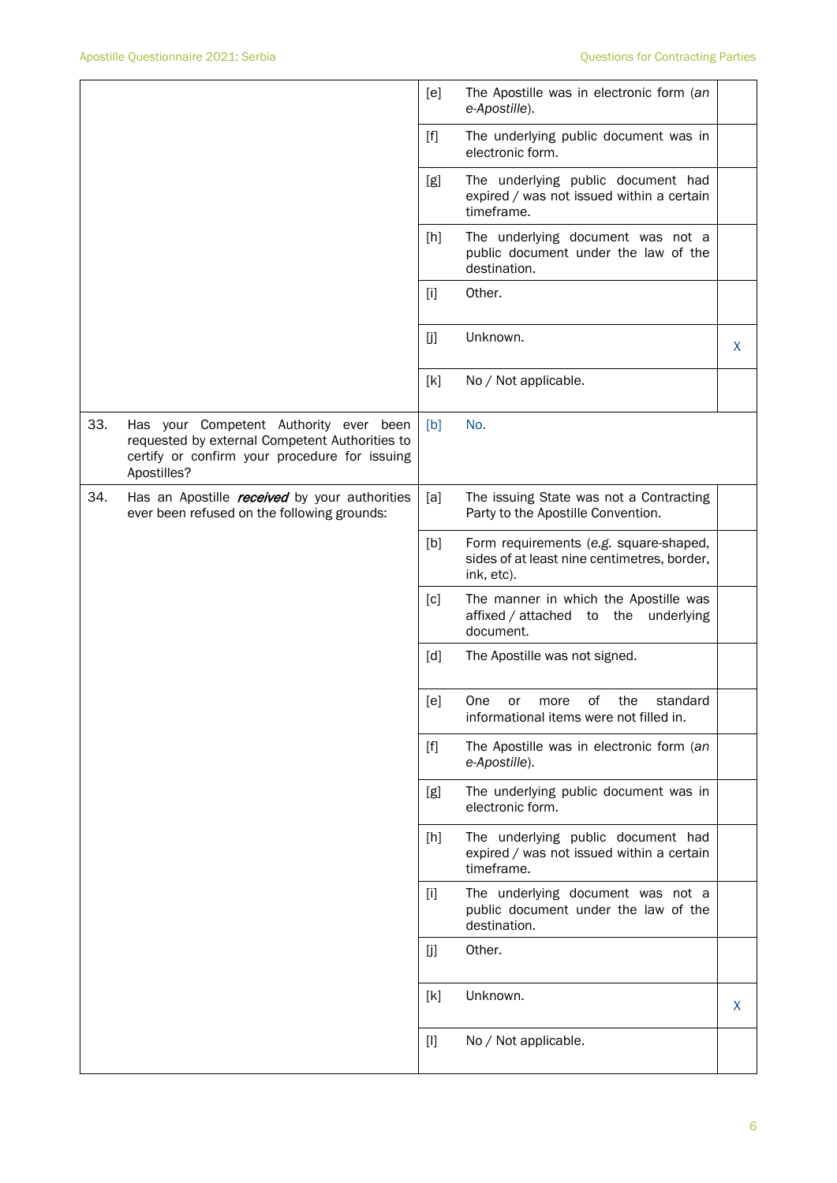|     |                                                                                                                                                          | [e]   | The Apostille was in electronic form (an<br>e-Apostille).                                           |   |
|-----|----------------------------------------------------------------------------------------------------------------------------------------------------------|-------|-----------------------------------------------------------------------------------------------------|---|
|     |                                                                                                                                                          | $[f]$ | The underlying public document was in<br>electronic form.                                           |   |
|     |                                                                                                                                                          | [g]   | The underlying public document had<br>expired / was not issued within a certain<br>timeframe.       |   |
|     |                                                                                                                                                          | [h]   | The underlying document was not a<br>public document under the law of the<br>destination.           |   |
|     |                                                                                                                                                          | $[1]$ | Other.                                                                                              |   |
|     |                                                                                                                                                          | [j]   | Unknown.                                                                                            | X |
|     |                                                                                                                                                          | [k]   | No / Not applicable.                                                                                |   |
| 33. | Has your Competent Authority ever been<br>requested by external Competent Authorities to<br>certify or confirm your procedure for issuing<br>Apostilles? | [b]   | No.                                                                                                 |   |
| 34. | Has an Apostille <i>received</i> by your authorities<br>ever been refused on the following grounds:                                                      | [a]   | The issuing State was not a Contracting<br>Party to the Apostille Convention.                       |   |
|     |                                                                                                                                                          | [b]   | Form requirements (e.g. square-shaped,<br>sides of at least nine centimetres, border,<br>ink, etc). |   |
|     |                                                                                                                                                          | [c]   | The manner in which the Apostille was<br>affixed / attached to<br>the<br>underlying<br>document.    |   |
|     |                                                                                                                                                          | [d]   | The Apostille was not signed.                                                                       |   |
|     |                                                                                                                                                          | [e]   | One<br>of<br>the<br>standard<br>or<br>more<br>informational items were not filled in.               |   |
|     |                                                                                                                                                          | $[f]$ | The Apostille was in electronic form (an<br>e-Apostille).                                           |   |
|     |                                                                                                                                                          | [g]   | The underlying public document was in<br>electronic form.                                           |   |
|     |                                                                                                                                                          | [h]   | The underlying public document had<br>expired / was not issued within a certain<br>timeframe.       |   |
|     |                                                                                                                                                          | $[1]$ | The underlying document was not a<br>public document under the law of the<br>destination.           |   |
|     |                                                                                                                                                          | [j]   | Other.                                                                                              |   |
|     |                                                                                                                                                          | [k]   | Unknown.                                                                                            | X |
|     |                                                                                                                                                          | $[]$  | No / Not applicable.                                                                                |   |